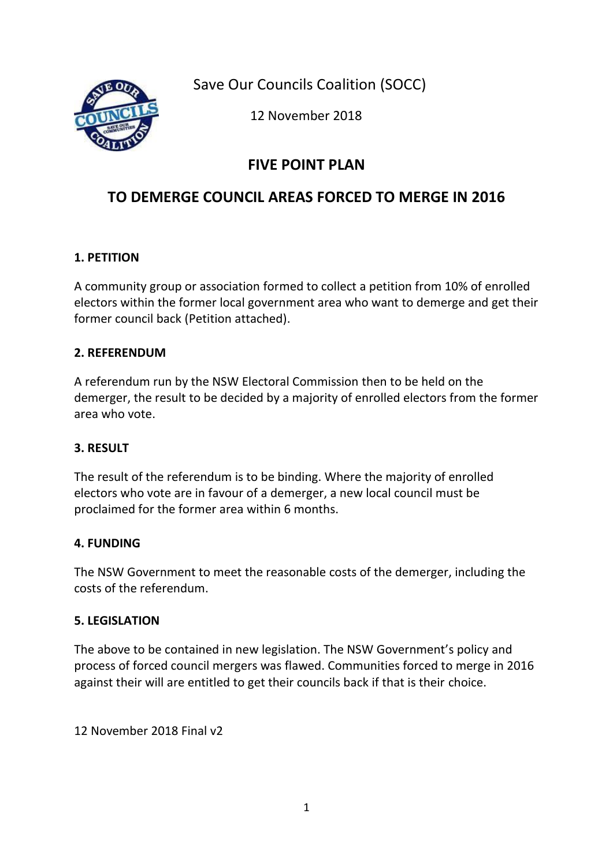Save Our Councils Coalition (SOCC)



12 November 2018

## **FIVE POINT PLAN**

## **TO DEMERGE COUNCIL AREAS FORCED TO MERGE IN 2016**

## **1. PETITION**

A community group or association formed to collect a petition from 10% of enrolled electors within the former local government area who want to demerge and get their former council back (Petition attached).

## **2. REFERENDUM**

A referendum run by the NSW Electoral Commission then to be held on the demerger, the result to be decided by a majority of enrolled electors from the former area who vote.

## **3. RESULT**

The result of the referendum is to be binding. Where the majority of enrolled electors who vote are in favour of a demerger, a new local council must be proclaimed for the former area within 6 months.

## **4. FUNDING**

The NSW Government to meet the reasonable costs of the demerger, including the costs of the referendum.

## **5. LEGISLATION**

The above to be contained in new legislation. The NSW Government's policy and process of forced council mergers was flawed. Communities forced to merge in 2016 against their will are entitled to get their councils back if that is their choice.

12 November 2018 Final v2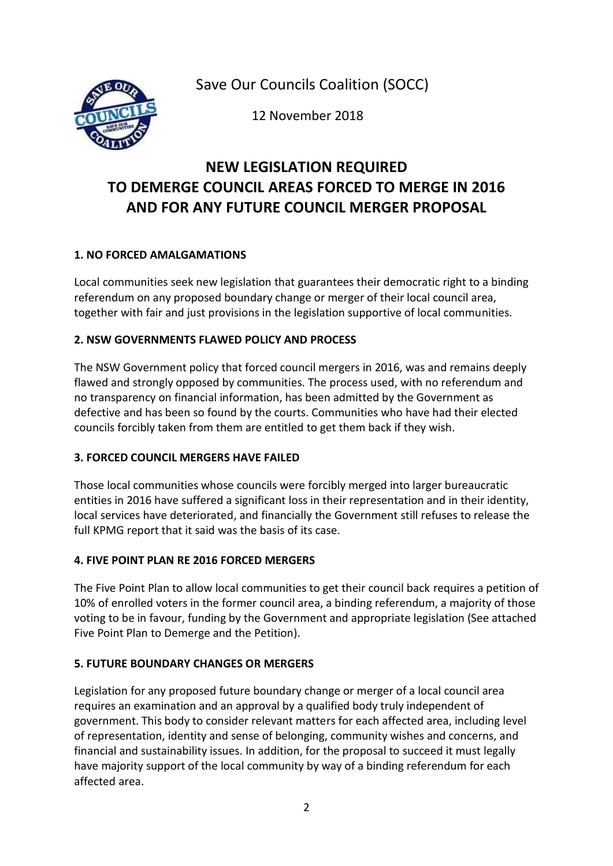Save Our Councils Coalition (SOCC)



12 November 2018

## **NEW LEGISLATION REQUIRED TO DEMERGE COUNCIL AREAS FORCED TO MERGE IN 2016 AND FOR ANY FUTURE COUNCIL MERGER PROPOSAL**

### **1. NO FORCED AMALGAMATIONS**

Local communities seek new legislation that guarantees their democratic right to a binding referendum on any proposed boundary change or merger of their local council area, together with fair and just provisions in the legislation supportive of local communities.

### **2. NSW GOVERNMENTS FLAWED POLICY AND PROCESS**

The NSW Government policy that forced council mergers in 2016, was and remains deeply flawed and strongly opposed by communities. The process used, with no referendum and no transparency on financial information, has been admitted by the Government as defective and has been so found by the courts. Communities who have had their elected councils forcibly taken from them are entitled to get them back if they wish.

#### **3. FORCED COUNCIL MERGERS HAVE FAILED**

Those local communities whose councils were forcibly merged into larger bureaucratic entities in 2016 have suffered a significant loss in their representation and in their identity, local services have deteriorated, and financially the Government still refuses to release the full KPMG report that it said was the basis of its case.

#### **4. FIVE POINT PLAN RE 2016 FORCED MERGERS**

The Five Point Plan to allow local communities to get their council back requires a petition of 10% of enrolled voters in the former council area, a binding referendum, a majority of those voting to be in favour, funding by the Government and appropriate legislation (See attached Five Point Plan to Demerge and the Petition).

### **5. FUTURE BOUNDARY CHANGES OR MERGERS**

Legislation for any proposed future boundary change or merger of a local council area requires an examination and an approval by a qualified body truly independent of government. This body to consider relevant matters for each affected area, including level of representation, identity and sense of belonging, community wishes and concerns, and financial and sustainability issues. In addition, for the proposal to succeed it must legally have majority support of the local community by way of a binding referendum for each affected area.